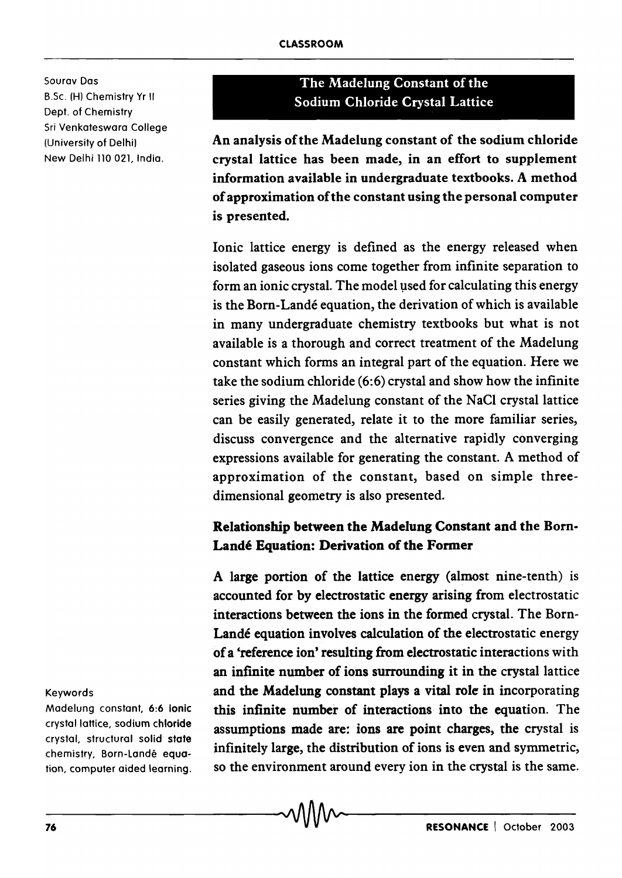Sourav Dos B.Sc. (H) Chemistry Yr II Dept. of Chemistry Sri Venkateswara College (University of Delhi) New Delhi 110 021, India.

# The Madelung Constant of the Sodium Chloride Crystal Lattice

An analysis of the Madelung constant of the sodium chloride crystal lattice has been made, in an effort to supplement information available in undergraduate textbooks. A method of approximation of the constant using the personal computer is presented.

Ionic lattice energy is defined as the energy released when isolated gaseous ions come together from infinite separation to form an ionic crystal. The model used for calculating this energy is the Born-Lande equation, the derivation of which is available in many undergraduate chemistry textbooks but what is not available is a thorough and correct treatment of the Madelung constant which forms an integral part of the equation. Here we take the sodium chloride (6:6) crystal and show how the infinite series giving the Madelung constant of the NaCl crystal lattice can be easily generated, relate it to the more familiar series, discuss convergence and the alternative rapidly converging expressions available for generating the constant. A method of approximation of the constant, based on simple threedimensional geometry is also presented.

## Relationship between the Madelung Constant and the Bom-Landé Equation: Derivation of the Former

A large portion of the lattice energy (almost nine-tenth) is accounted for by electrostatic energy arising from electrostatic interactions between the ions in the formed crystal. The Born-Landé equation involves calculation of the electrostatic energy of a 'reference ion' resulting from electrostatic interactions with an infinite number of ions surrounding it in the crystal lattice and the Madelung constant plays a vital role in incorporating this infinite number of interactions into the equation. The assumptions made are: ions are point charges, the crystal is infinitely large, the distribution of ions is even and symmetric, so the environment around every ion in the crystal is the same. chemistry, Born-Landé equa-<br>tion, computer aided learning. so the environment around every ion in the crystal is the same.<br>The same of the same of the same of the same of the same of the same of the same of the same of the

#### Keywords

Madelung constant, 6:6 ionic crystal lattice, sodium chloride crystal, structural solid state chemistry, Born-Lande equation, computer aided learning.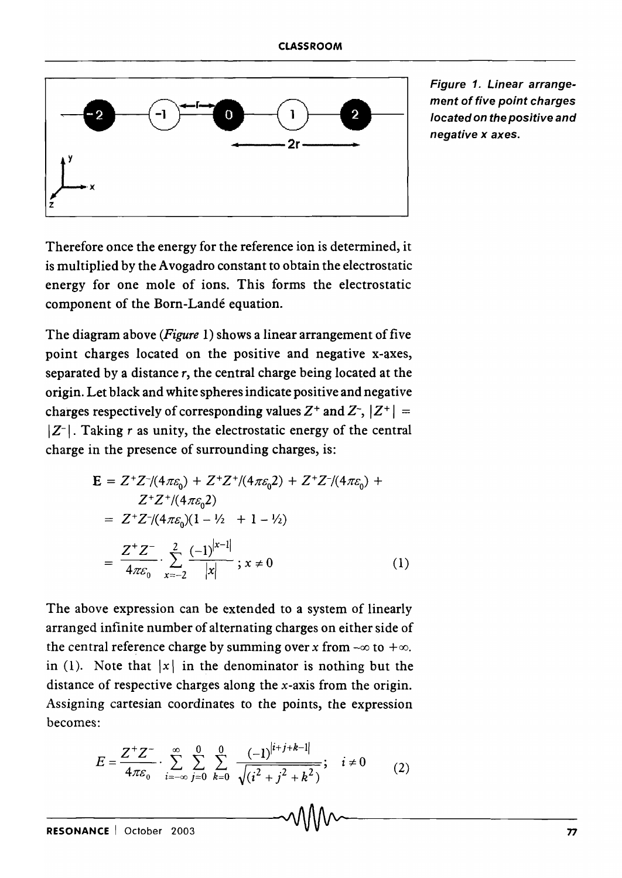

Figure 1. Linear arrangement of five point charges located on the positive and negative x axes.

Therefore once the energy for the reference ion is determined, it is multiplied by the Avogadro constant to obtain the electrostatic energy for one mole of ions. This forms the electrostatic component of the Born-Landé equation.

The diagram above *(Figure* 1) shows a linear arrangement of five point charges located on the positive and negative x-axes, separated by a distance  $r$ , the central charge being located at the origin. Let black and white spheres indicate positive and negative charges respectively of corresponding values  $Z^+$  and  $Z^-$ ,  $|Z^+|$  =  $|Z^{-}|$ . Taking r as unity, the electrostatic energy of the central charge in the presence of surrounding charges, is:

$$
\mathbf{E} = Z^+ Z^- / (4\pi \varepsilon_0) + Z^+ Z^+ / (4\pi \varepsilon_0^2) + Z^+ Z^- / (4\pi \varepsilon_0) + Z^+ Z^+ / (4\pi \varepsilon_0^2)
$$
  
=  $Z^+ Z^- / (4\pi \varepsilon_0^2) (1 - \frac{1}{2} + 1 - \frac{1}{2})$   
=  $\frac{Z^+ Z^-}{4\pi \varepsilon_0} \cdot \sum_{x=-2}^2 \frac{(-1)^{|x-1|}}{|x|} ; x \neq 0$  (1)

The above expression can be extended to a system of linearly arranged infinite number of alternating charges on either side of the central reference charge by summing over *x* from  $-\infty$  to  $+\infty$ . in (1). Note that  $|x|$  in the denominator is nothing but the distance of respective charges along the x-axis from the origin. Assigning cartesian coordinates to the points, the expression becomes:

$$
E = \frac{Z^+ Z^-}{4\pi \varepsilon_0} \cdot \sum_{i=-\infty}^{\infty} \sum_{j=0}^{0} \sum_{k=0}^{0} \frac{(-1)^{|i+j+k-1|}}{\sqrt{(i^2 + j^2 + k^2)}}; \quad i \neq 0
$$
 (2)

-R-ES-O-N-A-N-C-E--I-O-c-to-b-e-r--20-0-3------------~-------------------------------n-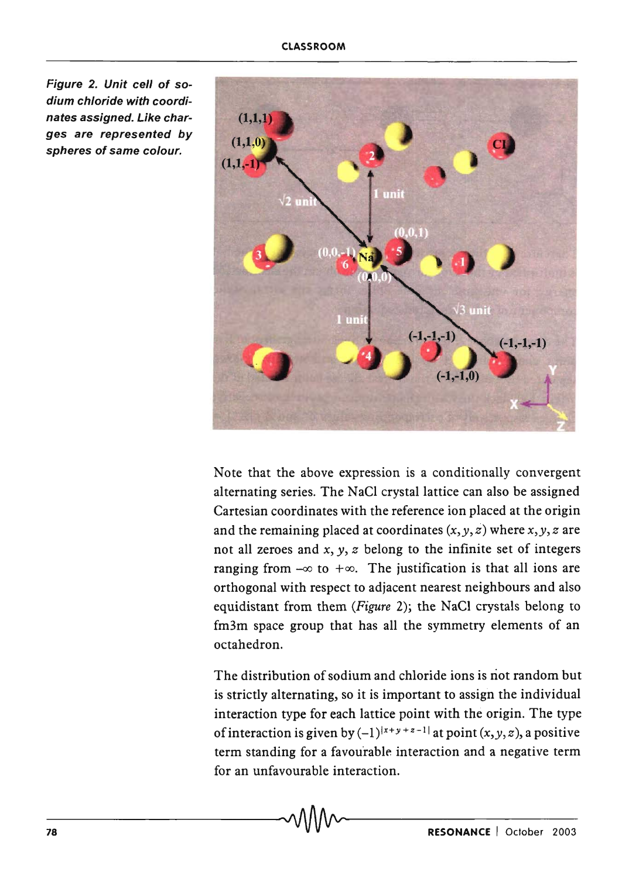Figure 2. Unit cell of sodium chloride with coordinates assigned. Like charges are represented by  $s$  are represented by  $(1,1,0)$ <br>spheres of same colour.



Note that the above expression is a conditionally convergent alternating series. The NaCl crystal lattice can also be assigned Cartesian coordinates with the reference ion placed at the origin and the remaining placed at coordinates  $(x, y, z)$  where  $x, y, z$  are not all zeroes and *x, y, z* belong to the infinite set of integers ranging from  $-\infty$  to  $+\infty$ . The justification is that all ions are orthogonal with respect to adjacent nearest neighbours and also equidistant from them *(Figure* 2); the NaCI crystals belong to fm3m space group that has all the symmetry elements of an octahedron.

The distribution of sodium and chloride ions is not random but is strictly alternating, so it is important to assign the individual interaction type for each lattice point with the origin. The type of interaction is given by  $(-1)^{|x+y+z-1|}$  at point  $(x, y, z)$ , a positive term standing for a favourable interaction and a negative term for an unfavourable interaction. \_\_\_\_\_\_\_\_ ,AAnAA, \_\_\_\_\_\_ \_\_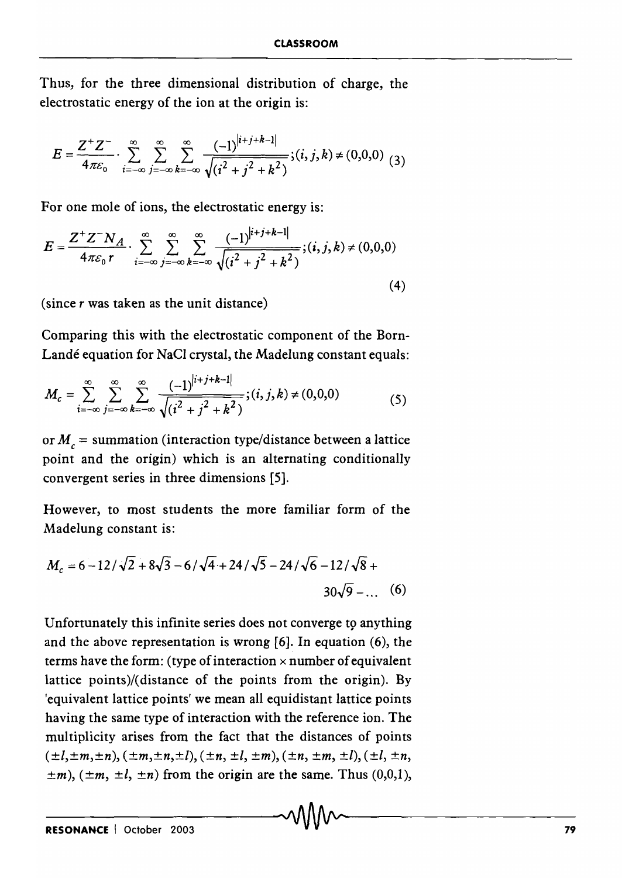Thus, for the three dimensional distribution of charge, the electrostatic energy of the ion at the origin is:

$$
E = \frac{Z^+ Z^-}{4\pi \varepsilon_0} \cdot \sum_{i=-\infty}^{\infty} \sum_{j=-\infty}^{\infty} \sum_{k=-\infty}^{\infty} \frac{(-1)^{|i+j+k-1|}}{\sqrt{(i^2+j^2+k^2)}}; (i,j,k) \neq (0,0,0) \tag{3}
$$

For one mole of ions, the electrostatic energy is:

$$
E = \frac{Z^+ Z^- N_A}{4\pi \varepsilon_0 r} \cdot \sum_{i=-\infty}^{\infty} \sum_{j=-\infty}^{\infty} \sum_{k=-\infty}^{\infty} \frac{(-1)^{|i+j+k-1|}}{\sqrt{(i^2 + j^2 + k^2)}}; (i, j, k) \neq (0, 0, 0)
$$
\n(4)

(since  $r$  was taken as the unit distance)

Comparing this with the electrostatic component of the Born-Landé equation for NaCl crystal, the Madelung constant equals:

$$
M_c = \sum_{i=-\infty}^{\infty} \sum_{j=-\infty}^{\infty} \sum_{k=-\infty}^{\infty} \frac{(-1)^{|i+j+k-1|}}{\sqrt{(i^2+j^2+k^2)}}; (i,j,k) \neq (0,0,0)
$$
 (5)

or  $M_c$  = summation (interaction type/distance between a lattice point and the origin) which is an alternating conditionally convergent series in three dimensions [5].

However, to most students the more familiar form of the Madelung constant is:

$$
M_c = 6 - 12/\sqrt{2} + 8\sqrt{3} - 6/\sqrt{4} + 24/\sqrt{5} - 24/\sqrt{6} - 12/\sqrt{8} + 30\sqrt{9} - \dots
$$
 (6)

Unfortunately this infinite series does not converge to anything and the above representation is wrong [6]. In equation (6), the terms have the form: (type of interaction  $\times$  number of equivalent lattice points)/(distance of the points from the origin). By 'equivalent lattice points' we mean all equidistant lattice points having the same type of interaction with the reference ion. The multiplicity arises from the fact that the distances of points  $(\pm l, \pm m, \pm n), (\pm m, \pm n, \pm l), (\pm n, \pm l, \pm m), (\pm n, \pm m, \pm l), (\pm l, \pm n, \pm l)$  $\pm m$ ), ( $\pm m$ ,  $\pm l$ ,  $\pm n$ ) from the origin are the same. Thus (0,0,1),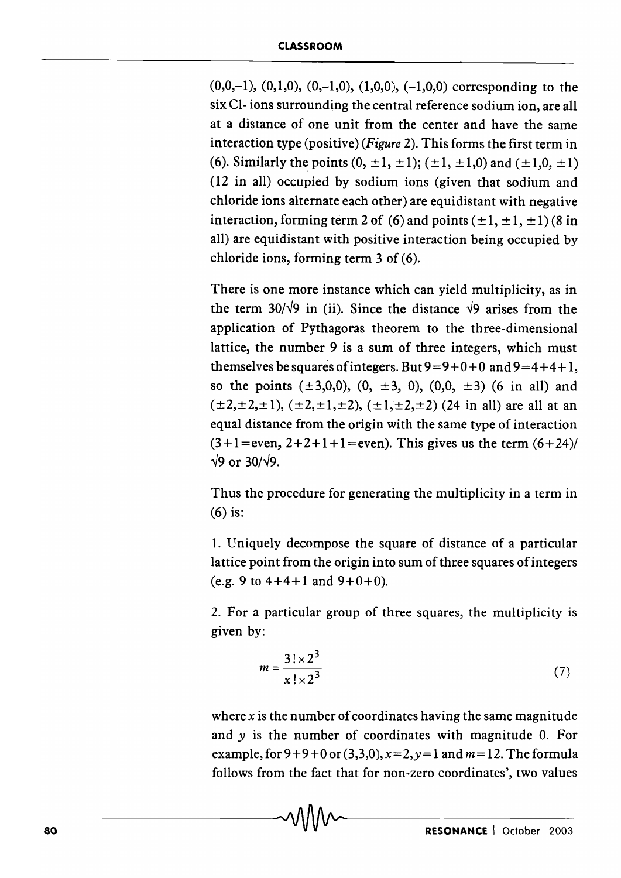$(0,0,-1)$ ,  $(0,1,0)$ ,  $(0,-1,0)$ ,  $(1,0,0)$ ,  $(-1,0,0)$  corresponding to the six CI- ions surrounding the central reference sodium ion, are all at a distance of one unit from the center and have the same interaction type (positive) *(Figure* 2). This forms the first term in (6). Similarly the points  $(0, \pm 1, \pm 1)$ ;  $(\pm 1, \pm 1, 0)$  and  $(\pm 1, 0, \pm 1)$ (12 in all) occupied by sodium ions (given that sodium and chloride ions alternate each other) are equidistant with negative interaction, forming term 2 of (6) and points  $(\pm 1, \pm 1, \pm 1)$  (8 in all) are equidistant with positive interaction being occupied by chloride ions, forming term 3 of (6).

There is one more instance which can yield multiplicity, as in the term 30/ $\sqrt{9}$  in (ii). Since the distance  $\sqrt{9}$  arises from the application of Pythagoras theorem to the three-dimensional lattice, the number 9 is a sum of three integers, which must themselves be squares of integers. But  $9=9+0+0$  and  $9=4+4+1$ , so the points  $(\pm 3,0,0)$ ,  $(0, \pm 3, 0)$ ,  $(0,0, \pm 3)$   $(6$  in all) and  $(\pm 2, \pm 2, \pm 1), (\pm 2, \pm 1, \pm 2), (\pm 1, \pm 2, \pm 2)$  (24 in all) are all at an equal distance from the origin with the same type of interaction  $(3+1)$ = even,  $2+2+1+1$ = even). This gives us the term  $(6+24)$ /  $\sqrt{9}$  or 30/ $\sqrt{9}$ .

Thus the procedure for generating the multiplicity in a term in (6) is:

1. Uniquely decompose the square of distance of a particular lattice point from the origin into sum of three squares of integers (e.g. 9 to  $4+4+1$  and  $9+0+0$ ).

2. For a particular group of three squares, the multiplicity is given by:

$$
m = \frac{3! \times 2^3}{x! \times 2^3} \tag{7}
$$

where *x* is the number of coordinates having the same magnitude and y is the number of coordinates with magnitude O. For example, for  $9 + 9 + 0$  or  $(3,3,0)$ ,  $x = 2$ ,  $y = 1$  and  $m = 12$ . The formula follows from the fact that for non-zero coordinates', two values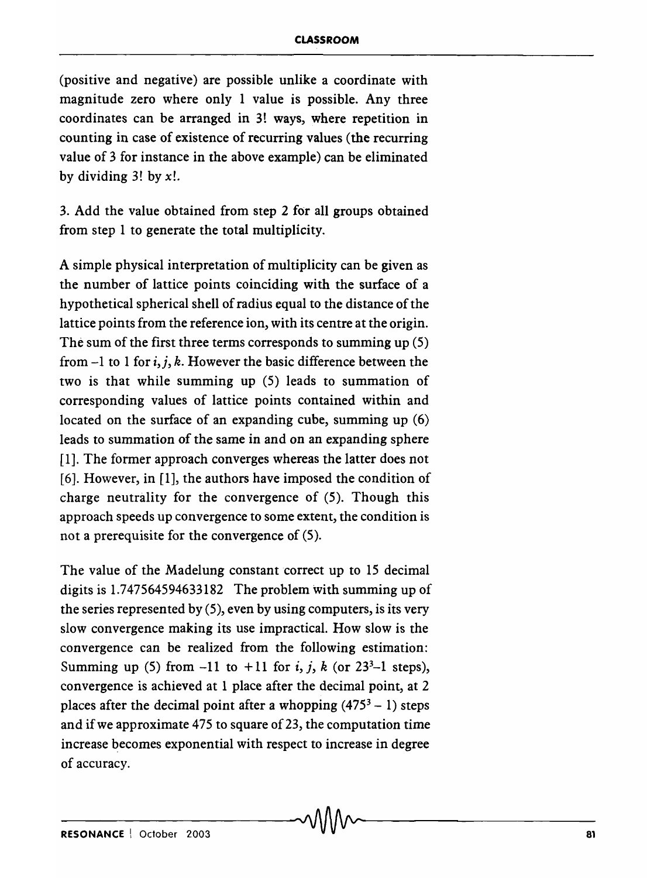(positive and negative) are possible unlike a coordinate with magnitude zero where only 1 value is possible. Any three coordinates can be arranged in 3! ways, where repetition in counting in case of existence of recurring values (the recurring value of 3 for instance in the above example) can be eliminated by dividing  $3!$  by  $x!$ .

3. Add the value obtained from step 2 for all groups obtained from step 1 to generate the total multiplicity.

A simple physical interpretation of multiplicity can be given as the number of lattice points coinciding with the surface of a hypothetical spherical shell of radius equal to the distance of the lattice points from the reference ion, with its centre at the origin. The sum of the first three terms corresponds to summing up (5) from  $-1$  to 1 for i, j, k. However the basic difference between the two is that while summing up (5) leads to summation of corresponding values of lattice points contained within and located on the surface of an expanding cube, summing up (6) leads to summation of the same in and on an expanding sphere [1]. The former approach converges whereas the latter does not [6]. However, in [1], the authors have imposed the condition of charge neutrality for the convergence of (5). Though this approach speeds up convergence to some extent, the condition is not a prerequisite for the convergence of (5).

The value of the Madelung constant correct up to 15 decimal digits is 1.747564594633182 The problem with summing up of the series represented by (5), even by using computers, is its very slow convergence making its use impractical. How slow is the convergence can be realized from the following estimation: Summing up (5) from  $-11$  to  $+11$  for i, j, k (or  $23<sup>3</sup>-1$  steps), convergence is achieved at 1 place after the decimal point, at 2 places after the decimal point after a whopping  $(475<sup>3</sup> - 1)$  steps and if we approximate 475 to square of 23, the computation time increase becomes exponential with respect to increase in degree of accuracy.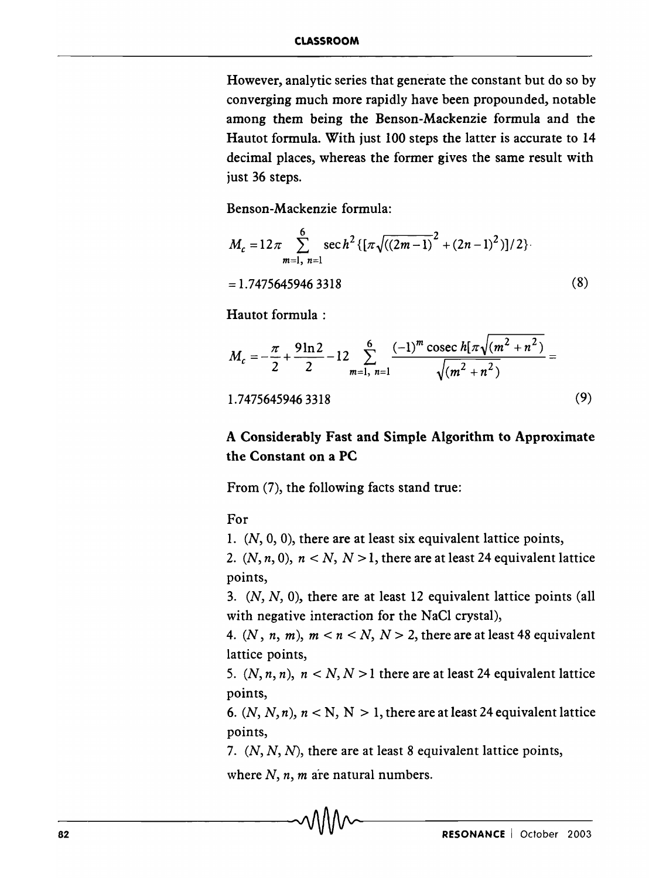However, analytic series that generate the constant but do so by converging much more rapidly have been propounded, notable among them being the Benson-Mackenzie formula and the Hautot formula. With just 100 steps the latter is accurate to 14 decimal places, whereas the former gives the same result with just 36 steps.

Benson-Mackenzie formula:

$$
M_c = 12\pi \sum_{m=1, n=1}^{6} \sec h^2 \{ [\pi \sqrt{((2m-1))}^2 + (2n-1)^2)]/2 \}
$$
  
= 1.7475645946 3318 (8)

Hautot formula ;

$$
M_c = -\frac{\pi}{2} + \frac{9\ln 2}{2} - 12 \sum_{m=1, n=1}^{6} \frac{(-1)^m \csc h[\pi\sqrt{(m^2 + n^2)}]}{\sqrt{(m^2 + n^2)}} =
$$
  
1.7475645946 3318 (9)

### A Considerably Fast and Simple Algorithm to Approximate the Constant on a PC

From (7), the following facts stand true:

For

1.  $(N, 0, 0)$ , there are at least six equivalent lattice points,

2.  $(N, n, 0)$ ,  $n < N$ ,  $N > 1$ , there are at least 24 equivalent lattice points,

*3. (N, N,* 0), there are at least 12 equivalent lattice points (all with negative interaction for the NaCl crystal),

4.  $(N, n, m), m < n < N, N > 2$ , there are at least 48 equivalent lattice points,

5.  $(N, n, n)$ ,  $n < N, N > 1$  there are at least 24 equivalent lattice points,

6.  $(N, N, n)$ ,  $n < N$ ,  $N > 1$ , there are at least 24 equivalent lattice points,

*7. (N, N,* N), there are at least 8 equivalent lattice points,

where  $N$ ,  $n$ ,  $m$  are natural numbers.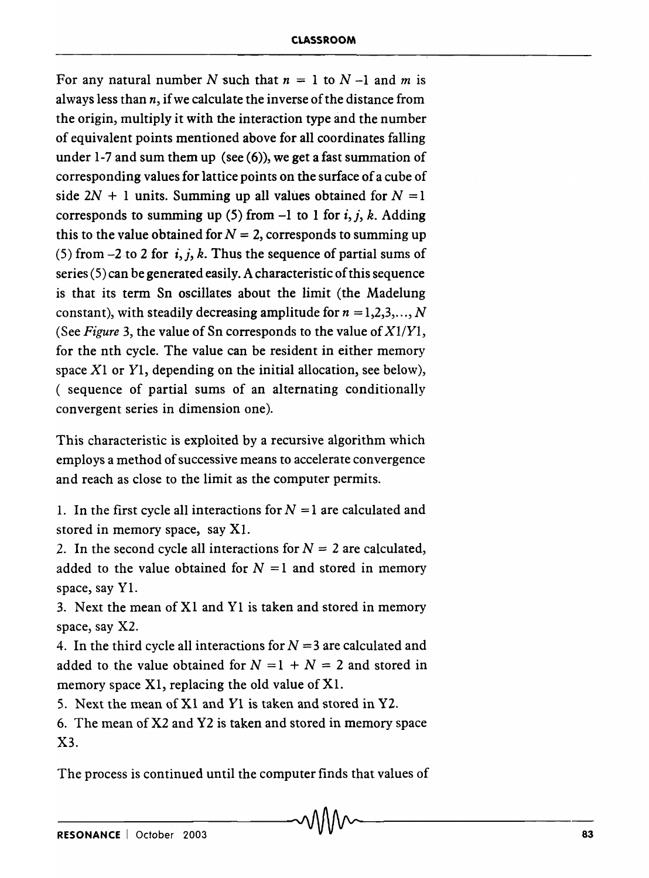For any natural number N such that  $n = 1$  to  $N - 1$  and m is always less than *n,* if we calculate the inverse of the distance from the origin, multiply it with the interaction type and the number of equivalent points mentioned above for all coordinates falling under 1-7 and sum them up (see (6)), we get a fast summation of corresponding values for lattice points on the surface of a cube of side  $2N + 1$  units. Summing up all values obtained for  $N = 1$ corresponds to summing up (5) from  $-1$  to 1 for i, j, k. Adding this to the value obtained for  $N = 2$ , corresponds to summing up (5) from  $-2$  to 2 for i, j, k. Thus the sequence of partial sums of series (5) can be generated easily. A characteristic of this sequence is that its term Sn oscillates about the limit (the Madelung constant), with steadily decreasing amplitude for  $n = 1, 2, 3, ..., N$ (See *Figure* 3, the value of Sn corresponds to the value of *XlIYl,*  for the nth cycle. The value can be resident in either memory space  $X1$  or  $Y1$ , depending on the initial allocation, see below), ( sequence of partial sums of an alternating conditionally convergent series in dimension one).

This characteristic is exploited by a recursive algorithm which employs a method of successive means to accelerate convergence and reach as close to the limit as the computer permits.

1. In the first cycle all interactions for  $N = 1$  are calculated and stored in memory space, say Xl.

2. In the second cycle all interactions for  $N = 2$  are calculated, added to the value obtained for  $N = 1$  and stored in memory space, say Y1.

3. Next the mean of XI and Yl is taken and stored in memory space, say X2.

4. In the third cycle all interactions for  $N = 3$  are calculated and added to the value obtained for  $N = 1 + N = 2$  and stored in memory space Xl, replacing the old value of Xl.

5. Next the mean of Xl and Yl is taken and stored in Y2.

6. The mean of X2 and Y2 is taken and stored in memory space X3.

The process is continued until the computer finds that values of